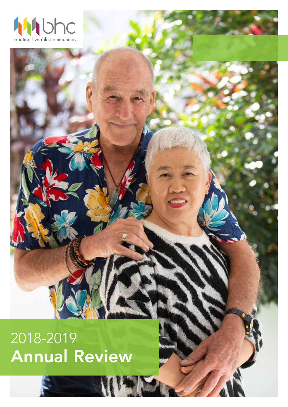

2018-2019 Annual Review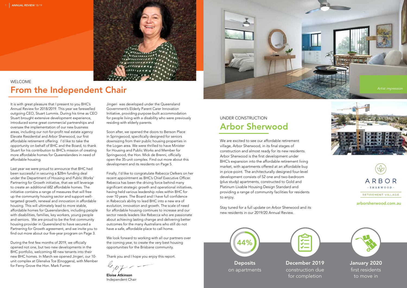We are excited to see our affordable retirement village, Arbor Sherwood, in its final stages of construction and almost ready for its new residents. Arbor Sherwood is the first development under BHC's expansion into the affordable retirement living market, with apartments offered at an affordable buy in price-point. The architecturally designed four-level development consists of 52 one and two-bedroom (plus study) apartments, constructed to Gold and Platinum Livable Housing Design Standard and providing a range of community facilities for residents to enjoy.

Stay tuned for a full update on Arbor Sherwood and its new residents in our 2019/20 Annual Review.

### UNDER CONSTRUCTION Arbor Sherwood

It is with great pleasure that I present to you BHC's Annual Review for 2018/2019. This year we farewelled outgoing CEO, Stuart Lummis. During his time as CEO Stuart brought extensive development experience, introduced some great commercial partnerships and oversaw the implementation of our new business areas, including our not-for-profit real estate agency Elevate Residential and Arbor Sherwood, our first affordable retirement offering. I'd like to take the opportunity on behalf of BHC and the Board, to thank Stuart for his contribution to BHC's mission of creating more affordable homes for Queenslanders in need of affordable housing.

> first residents to move in

Last year we were proud to announce that BHC had been successful in securing a \$28m funding deal under the Department of Housing and Public Works' Partnering for Growth initiative, that we will leverage to create an additional 682 affordable homes. The initiative contains a range of measures that will free up the community housing sector and support welltargeted growth, renewal and innovation in affordable housing. This will ultimately lead to more stable, affordable homes for Queenslanders, including people with disabilities, families, key workers, young people and seniors. We are proud to be the first community housing provider in Queensland to have secured a Partnering for Growth agreement, and we invite you to find out more about our five-year program on Page 3.

> We look forward to working with all our partners over the coming year, to create the very best housing opportunities for the Brisbane community.

During the first few months of 2019, we officially opened not one, but two new developments in the BHC portfolio, welcoming 48 new tenants into their new BHC homes. In March we opened Jingeri, our 10 unit complex at Glenalva Tce (Enoggera), with Member for Ferny Grove the Hon. Mark Furner.









· SHERWOOD

RETIREMENT VILLAGE

Jingeri was developed under the Queensland Government's Elderly Parent Carer Innovation Initiative, providing purpose-built accommodation for people living with a disability who were previously residing with elderly parents.

Soon after, we opened the doors to Benson Place in Springwood, specifically designed for seniors downsizing from their public housing properties in the Logan area. We were thrilled to have Minister for Housing and Public Works and Member for Springwood, the Hon. Mick de Brenni, officially open the 35-unit complex. Find out more about this development and its residents on Page 5.

Finally, I'd like to congratulate Rebecca Oelkers on her recent appointment as BHC's Chief Executive Officer. Rebecca has been the driving force behind many significant strategic growth and operational initiatives, having held various leadership roles within BHC for over 10 years. The Board and I have full confidence in Rebecca's ability to lead BHC into a new era of evolution, innovation and growth. The scale of need for affordable housing continues to increase and our sector needs leaders like Rebecca who are passionate about achieving lasting change and delivering better outcomes for the many Australians who still do not have a safe, affordable place to call home.

Thank you and I hope you enjoy this report.

le.pt-

Eloise Atkinson Independent Chair



### WELCOME From the Independent Chair

### arborsherwood.com.au



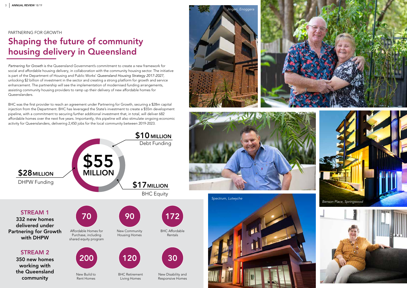#### PARTNERING FOR GROWTH

# Shaping the future of community housing delivery in Queensland

*Partnering for Growth* is the Queensland Government's commitment to create a new framework for social and affordable housing delivery, in collaboration with the community housing sector. The initiative is part of the Department of Housing and Public Works' *Queensland Housing Strategy 2017-2027*, unlocking \$2 billion of investment in the sector and creating a strong platform for growth and service enhancement. The partnership will see the implementation of modernised funding arrangements, assisting community housing providers to ramp up their delivery of new affordable homes for Queenslanders.



BHC was the first provider to reach an agreement under Partnering for Growth, securing a \$28m capital injection from the Department. BHC has leveraged the State's investment to create a \$55m development pipeline, with a commitment to securing further additional investment that, in total, will deliver 682 affordable homes over the next five years. Importantly, this pipeline will also stimulate ongoing economic activity for Queenslanders, delivering 2,450 jobs for the local community between 2019-2023.











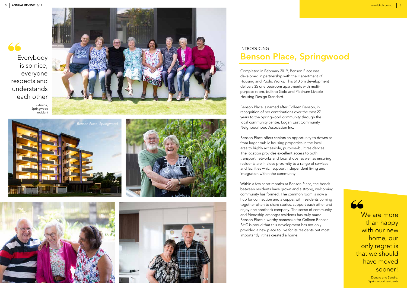### INTRODUCING Benson Place, Springwood

Completed in February 2019, Benson Place was developed in partnership with the Department of Housing and Public Works. This \$10.5m development delivers 35 one bedroom apartments with multipurpose room, built to Gold and Platinum Livable Housing Design Standard.

Benson Place is named after Colleen Benson, in recognition of her contributions over the past 27 years to the Springwood community through the local community centre, Logan East Community Neighbourhood Association Inc.

Benson Place offers seniors an opportunity to downsize from larger public housing properties in the local area to highly accessible, purpose-built residences. The location provides excellent access to both transport networks and local shops, as well as ensuring residents are in close proximity to a range of services and facilities which support independent living and integration within the community.

Within a few short months at Benson Place, the bonds between residents have grown and a strong, welcoming community has formed. The common room is now a hub for connection and a cuppa, with residents coming together often to share stories, support each other and enjoy one another's company. The sense of community and friendship amongst residents has truly made Benson Place a worthy namesake for Colleen Benson. BHC is proud that this development has not only provided a new place to live for its residents but most importantly, it has created a home.

66

We are more than happy with our new home, our only regret is that we should have moved sooner!



- Donald and Sandra, Springwood residents

- Amina, Springwood resident









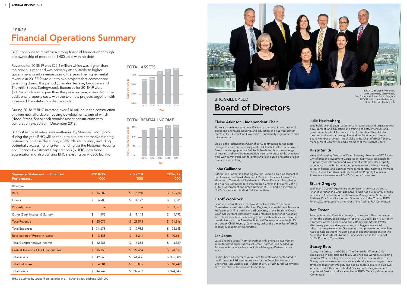BHC is audited by Grant Thornton Brisbane, 145 Ann Street, Brisbane Qld 4000

As a professional Quantity Surveying consultant Ben has worked within the construction industry for over 30 years. Ben is currently a Director of the Queensland consultancy firm Steele Wrobel, after many years working on a range of large-scale social infrastructure projects for Government and private enterprise. Ben has also held positions including that of chapter president for the Australian Institute of Quantity Surveyors. Ben is the Chair of BHC's Property Committee.

#### Ben Foster

Kirsty is Managing Director of Kelen Property. Previously CEO for the City of Brisbane Investment Corporation, Kirsty was responsible for its property development and investment strategies. Her property experience across both public and private sectors follows an early career in finance and business management roles. Kirsty is a member of the Queensland Divisional Council of the Property Council of Australia and a member of BHC's Property Committee.

#### Kirsty Smith

#### TOTAL RENTAL INCOME

#### John Gallimore

A long-time Partner in a leading law firm, John is now a Consultant to that firm and is a Board Member of Multicap. John is a former Board Member of Queensland Sudden Infant Death Research Foundation and has had various roles in the Anglican Church in Brisbane. John is a State Government appointed Director of BHC and is a member of BHC's Property and Audit & Risk Committees.

#### Eloise Atkinson - Independent Chair

Eloise is an architect with over 25 years' experience in the design of public and affordable housing, and education and has worked with clients in the Queensland Government, community organisations and private sector.

Eloise is the Independent Chair of BHC, contributing to the sector through research and advocacy and is a Churchill Fellow. In her role as Director of design practice Deicke Richards, her broad knowledge of housing and development models also contributes to the practice's work with commercial, not for profit and faith-based providers of aged care and seniors living.

### **BHC SKILL BASED** Board of Directors

Julie holds over 25 years' experience in leadership and organisational development, and education and training at both enterprise and government levels. Julie has successfully translated her skills to the community sector through her work as Founder and Interim Board Member of Under 1 Roof. Julie is the Chair of BHC's Tenancy Management Committee and a member of the Catalyst Board.



#### Julie Heckenberg

With over 30 years' experience in professional services as both a Finance Director and Chief Executive, Stuart has a wide array of skills in Finance, Administration and Business Management. Stuart is the Brisbane City Council appointed Director and is the Chair of BHC's Finance Committee and a member of the Audit & Risk Committee.

#### Stuart Gregory

Geoff is a Senior Research Fellow at the University of Southern Queensland's Institute for Resilient Regions, and an Adjunct Associate Professor at Griffith University and University of the Sunshine Coast. Geoff has 30 years' community-based research experience nationally and internationally in the housing, youth and health sectors. Geoff is a board director of the Australian National Development Index (ANDI) and Logan Child-Friendly Community Ltd, and is a member of BHC's Tenancy Management Committee.

#### Geoff Woolcock

Les is a retired Grant Thornton Partner with extensive involvement in not for profit organisations. At Grant Thornton, Les headed up Assurance Services and was the Office Managing Partner for five years.

Les has been a Director of various not for profits and contributed to the Professional Education program for the Australian Institute of Chartered Accountants. Les is Chair of BHC's Audit & Risk Committee and a member of the Finance Committee.

#### Les Jones



BHC continues to maintain a strong financial foundation through the ownership of more than 1,400 units with no debt.

Revenue for 2018/19 was \$25.1 million which was higher than the previous year and was primarily attributable to higher government grant revenue during the year. The higher rental revenue in 2018/19 was due to two projects that commenced tenanting during the period (Glenalva Terrace, Enoggera and Thornhill Street, Springwood). Expenses for 2018/19 were \$21.7m which was higher than the previous year, arising from the additional property costs with the two new projects together with increased fire safety compliance costs.

### 2018/19 Financial Operations Summary

During 2018/19 BHC invested over \$16 million in the construction of three new affordable housing developments, one of which (Hood Street, Sherwood) remains under construction with completion expected in December 2019.

BHC's AA- credit rating was reaffirmed by Standard and Poor's during the year. BHC will continue to explore alternative funding options to increase the supply of affordable housing, including potentially accessing long-term funding via the National Housing and Finance Investment Corporation's (NHFIC) new bond aggregator and also utilising BHC's existing bank debt facility.

| <b>Summary Statement of Financial</b> | 2018/19       | 2017/18     | 2016/17             |
|---------------------------------------|---------------|-------------|---------------------|
| Performance                           | <b>'000</b>   | <b>'000</b> | '000                |
| Revenue                               |               |             |                     |
| Rent                                  | \$            | \$          | $\sqrt{2}$          |
|                                       | 16,889        | 16,260      | 15,234              |
| Grants                                | \$            | \$          | \$                  |
|                                       | 6,988         | 4,172       | 1,031               |
| <b>Property Sales</b>                 |               |             | $\sqrt{2}$<br>3,859 |
| Other (Bank Interest & Sundry)        | \$            | \$          | \$                  |
|                                       | 1,195         | 1,143       | 1,192               |
| <b>Total Revenue</b>                  | \$            | \$          | $\frac{1}{2}$       |
|                                       | 25,072        | 21,575      | 21,316              |
| <b>Total Expenses</b>                 | \$            | \$          | \$                  |
|                                       | 21,678        | 19,982      | 23,648              |
| <b>Revaluation of Property Assets</b> | \$            | \$          | $$\mathfrak{s}$$    |
|                                       | 8,888         | 6,241       | 10,661              |
| Total Comprehensive Income            | \$            | \$          | \$                  |
|                                       | 12,281        | 7,835       | 8,329               |
| Cash at the end of the Financial Year | $\frac{1}{2}$ | $\sqrt{2}$  | $\sqrt{2}$          |
|                                       | 16,150        | 27,664      | 28,137              |
| <b>Total Assets</b>                   | \$349,263     | \$341,486   | \$335,088           |
| <b>Total Liabilities</b>              | \$            | \$          | $$\mathbb{S}$$      |
|                                       | 4,301         | 8,805       | 10,242              |
| <b>Total Equity</b>                   | \$344,962     | \$ 332,681  | \$ 324,846          |



John Gallimore, Stacey Ross, Ben Foster, Les Jones, Stuart Gregory FRONT (L-R): Julie Heckenberg, Eloise Atkinson, Kirsty Smith

Stacey is a Director and CEO of The Centre For Women & Co. specialising in domestic and family violence and women's wellbeing services. With over 19 years' experience in the community sector Stacey is passionate about community development at a grassroots level, she leads with integrity and has an endless desire to empower others to reach their full potential. Stacey is a State government appointed Director and is a member of BHC's Tenancy Management Committee.

#### Stacey Ross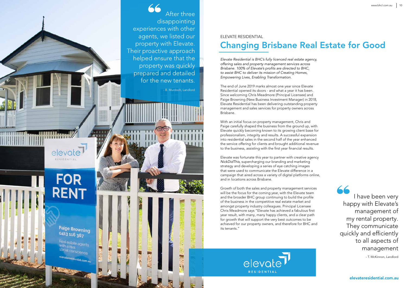

66 After three disappointing experiences with other agents, we listed our property with Elevate. Their proactive approach helped ensure that the property was quickly prepared and detailed for the new tenants.

- T. McKinnon, Landlord

- B. Murdoch, Landlord

TIHIII

 $1111$ 

*Elevate Residential is BHC's fully licenced real estate agency, offering sales and property management services across Brisbane. 100% of Elevate's profits are directed to BHC, to assist BHC to deliver its mission of Creating Homes, Empowering Lives, Enabling Transformation.*

The end of June 2019 marks almost one year since Elevate Residential opened its doors - and what a year it has been. Since welcoming Chris Meadmore (Principal Licensee) and Paige Browning (New Business Investment Manager) in 2018, Elevate Residential has been delivering outstanding property management and sales services for property owners across Brisbane.

### ELEVATE RESIDENTIAL Changing Brisbane Real Estate for Good

With an initial focus on property management, Chris and Paige carefully shaped the business from the ground up, with Elevate quickly becoming known to its growing client base for professionalism, integrity and results. A successful expansion into residential sales in the second half of the year enhanced the service offering for clients and brought additional revenue to the business, assisting with the first year financial results.

Elevate was fortunate this year to partner with creative agency *NickDidThis*, supercharging our branding and marketing strategy and developing a series of eye catching images that were used to communicate the Elevate difference in a campaign that aired across a variety of digital platforms online, and in locations across Brisbane.

Growth of both the sales and property management services will be the focus for the coming year, with the Elevate team and the broader BHC group continuing to build the profile of the business in the competitive real estate market and amongst property industry colleagues. Principal Licensee Chris Meadmore says "Elevate has achieved a fabulous first year result, with many, many happy clients, and a clear path for growth that will support the very best outcomes to be achieved for our property owners, and therefore for BHC and its tenants."



**FOR RENT** 

elevate

RESIDENTIAL

道理器

Paige Browning 0413 116 367

Real estate agents sidential.com.au